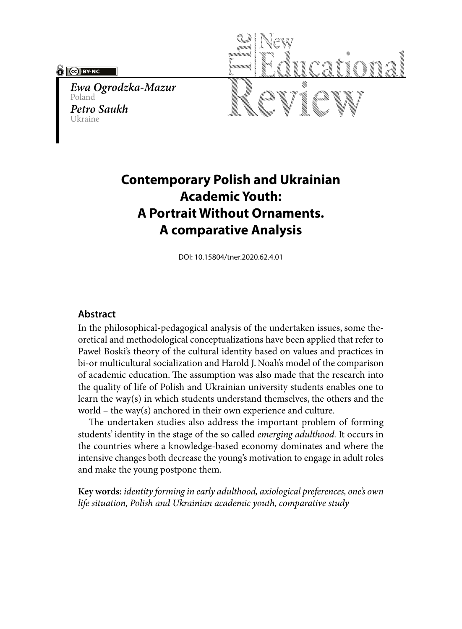#### **PO BY-NC**

*Ewa Ogrodzka-Mazur* Poland *Petro Saukh*  Ukraine



# **Contemporary Polish and Ukrainian Academic Youth: A Portrait Without Ornaments. A comparative Analysis**

DOI: 10.15804/tner.2020.62.4.01

### **Abstract**

In the philosophical-pedagogical analysis of the undertaken issues, some theoretical and methodological conceptualizations have been applied that refer to Paweł Boski's theory of the cultural identity based on values and practices in bi-or multicultural socialization and Harold J. Noah's model of the comparison of academic education. The assumption was also made that the research into the quality of life of Polish and Ukrainian university students enables one to learn the way(s) in which students understand themselves, the others and the world – the way(s) anchored in their own experience and culture.

The undertaken studies also address the important problem of forming students' identity in the stage of the so called *emerging adulthood.* It occurs in the countries where a knowledge-based economy dominates and where the intensive changes both decrease the young's motivation to engage in adult roles and make the young postpone them.

**Key words:** *identity forming in early adulthood, axiological preferences, one's own life situation, Polish and Ukrainian academic youth, comparative study*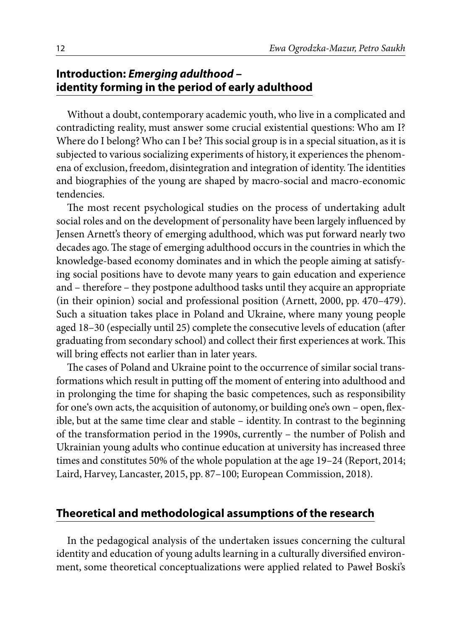## **Introduction:** *Emerging adulthood* **– identity forming in the period of early adulthood**

Without a doubt, contemporary academic youth, who live in a complicated and contradicting reality, must answer some crucial existential questions: Who am I? Where do I belong? Who can I be? This social group is in a special situation, as it is subjected to various socializing experiments of history, it experiences the phenomena of exclusion, freedom, disintegration and integration of identity. The identities and biographies of the young are shaped by macro-social and macro-economic tendencies.

The most recent psychological studies on the process of undertaking adult social roles and on the development of personality have been largely influenced by Jensen Arnett's theory of emerging adulthood, which was put forward nearly two decades ago. The stage of emerging adulthood occurs in the countries in which the knowledge-based economy dominates and in which the people aiming at satisfying social positions have to devote many years to gain education and experience and – therefore – they postpone adulthood tasks until they acquire an appropriate (in their opinion) social and professional position (Arnett, 2000, pp. 470–479). Such a situation takes place in Poland and Ukraine, where many young people aged 18–30 (especially until 25) complete the consecutive levels of education (after graduating from secondary school) and collect their first experiences at work. This will bring effects not earlier than in later years.

The cases of Poland and Ukraine point to the occurrence of similar social transformations which result in putting off the moment of entering into adulthood and in prolonging the time for shaping the basic competences, such as responsibility for one's own acts, the acquisition of autonomy, or building one's own – open, flexible, but at the same time clear and stable – identity. In contrast to the beginning of the transformation period in the 1990s, currently – the number of Polish and Ukrainian young adults who continue education at university has increased three times and constitutes 50% of the whole population at the age 19–24 (Report, 2014; Laird, Harvey, Lancaster, 2015, pp. 87–100; European Commission, 2018).

### **Theoretical and methodological assumptions of the research**

In the pedagogical analysis of the undertaken issues concerning the cultural identity and education of young adults learning in a culturally diversified environment, some theoretical conceptualizations were applied related to Paweł Boski's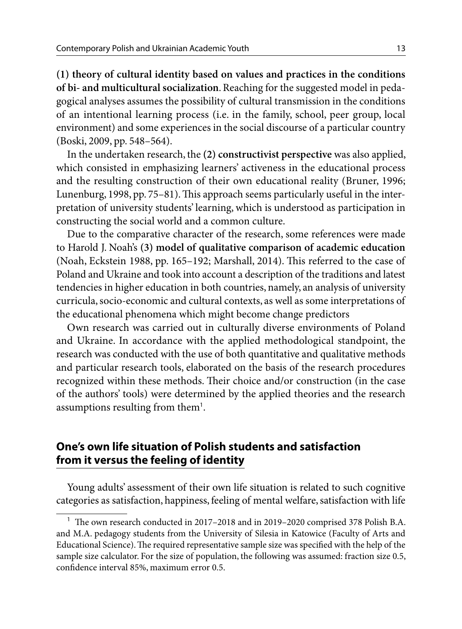**(1) theory of cultural identity based on values and practices in the conditions of bi- and multicultural socialization**. Reaching for the suggested model in pedagogical analyses assumes the possibility of cultural transmission in the conditions of an intentional learning process (i.e. in the family, school, peer group, local environment) and some experiences in the social discourse of a particular country (Boski, 2009, pp. 548–564).

In the undertaken research, the **(2) constructivist perspective** was also applied, which consisted in emphasizing learners' activeness in the educational process and the resulting construction of their own educational reality (Bruner, 1996; Lunenburg, 1998, pp. 75–81). This approach seems particularly useful in the interpretation of university students' learning, which is understood as participation in constructing the social world and a common culture.

Due to the comparative character of the research, some references were made to Harold J. Noah's **(3) model of qualitative comparison of academic education** (Noah, Eckstein 1988, pp. 165–192; Marshall, 2014). This referred to the case of Poland and Ukraine and took into account a description of the traditions and latest tendencies in higher education in both countries, namely, an analysis of university curricula, socio-economic and cultural contexts, as well as some interpretations of the educational phenomena which might become change predictors

Own research was carried out in culturally diverse environments of Poland and Ukraine. In accordance with the applied methodological standpoint, the research was conducted with the use of both quantitative and qualitative methods and particular research tools, elaborated on the basis of the research procedures recognized within these methods. Their choice and/or construction (in the case of the authors' tools) were determined by the applied theories and the research assumptions resulting from them<sup>1</sup>.

## **One's own life situation of Polish students and satisfaction from it versus the feeling of identity**

Young adults' assessment of their own life situation is related to such cognitive categories as satisfaction, happiness, feeling of mental welfare, satisfaction with life

<sup>1</sup> The own research conducted in 2017–2018 and in 2019–2020 comprised 378 Polish B.A. and M.A. pedagogy students from the University of Silesia in Katowice (Faculty of Arts and Educational Science). The required representative sample size was specified with the help of the sample size calculator. For the size of population, the following was assumed: fraction size 0.5, confidence interval 85%, maximum error 0.5.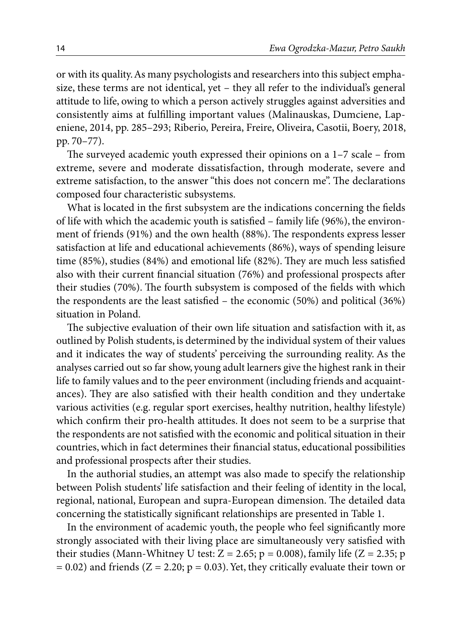or with its quality. As many psychologists and researchers into this subject emphasize, these terms are not identical, yet – they all refer to the individual's general attitude to life, owing to which a person actively struggles against adversities and consistently aims at fulfilling important values (Malinauskas, Dumciene, Lapeniene, 2014, pp. 285–293; Riberio, Pereira, Freire, Oliveira, Casotii, Boery, 2018, pp. 70–77).

The surveyed academic youth expressed their opinions on a 1–7 scale – from extreme, severe and moderate dissatisfaction, through moderate, severe and extreme satisfaction, to the answer "this does not concern me". The declarations composed four characteristic subsystems.

What is located in the first subsystem are the indications concerning the fields of life with which the academic youth is satisfied – family life (96%), the environment of friends (91%) and the own health (88%). The respondents express lesser satisfaction at life and educational achievements (86%), ways of spending leisure time (85%), studies (84%) and emotional life (82%). They are much less satisfied also with their current financial situation (76%) and professional prospects after their studies (70%). The fourth subsystem is composed of the fields with which the respondents are the least satisfied – the economic (50%) and political (36%) situation in Poland.

The subjective evaluation of their own life situation and satisfaction with it, as outlined by Polish students, is determined by the individual system of their values and it indicates the way of students' perceiving the surrounding reality. As the analyses carried out so far show, young adult learners give the highest rank in their life to family values and to the peer environment (including friends and acquaintances). They are also satisfied with their health condition and they undertake various activities (e.g. regular sport exercises, healthy nutrition, healthy lifestyle) which confirm their pro-health attitudes. It does not seem to be a surprise that the respondents are not satisfied with the economic and political situation in their countries, which in fact determines their financial status, educational possibilities and professional prospects after their studies.

In the authorial studies, an attempt was also made to specify the relationship between Polish students' life satisfaction and their feeling of identity in the local, regional, national, European and supra-European dimension. The detailed data concerning the statistically significant relationships are presented in Table 1.

In the environment of academic youth, the people who feel significantly more strongly associated with their living place are simultaneously very satisfied with their studies (Mann-Whitney U test:  $Z = 2.65$ ;  $p = 0.008$ ), family life ( $Z = 2.35$ ; p  $= 0.02$ ) and friends (Z = 2.20; p = 0.03). Yet, they critically evaluate their town or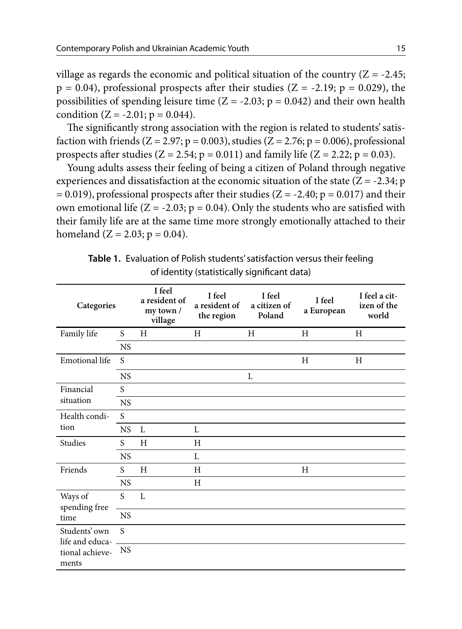village as regards the economic and political situation of the country  $(Z = -2.45;$  $p = 0.04$ ), professional prospects after their studies ( $Z = -2.19$ ;  $p = 0.029$ ), the possibilities of spending leisure time  $(Z = -2.03; p = 0.042)$  and their own health condition  $(Z = -2.01; p = 0.044)$ .

The significantly strong association with the region is related to students' satisfaction with friends ( $Z = 2.97$ ;  $p = 0.003$ ), studies ( $Z = 2.76$ ;  $p = 0.006$ ), professional prospects after studies ( $Z = 2.54$ ;  $p = 0.011$ ) and family life ( $Z = 2.22$ ;  $p = 0.03$ ).

Young adults assess their feeling of being a citizen of Poland through negative experiences and dissatisfaction at the economic situation of the state  $(Z = -2.34; p$  $= 0.019$ ), professional prospects after their studies (Z = -2.40; p = 0.017) and their own emotional life ( $Z = -2.03$ ;  $p = 0.04$ ). Only the students who are satisfied with their family life are at the same time more strongly emotionally attached to their homeland  $(Z = 2.03; p = 0.04)$ .

| Categories                                                   |           | I feel<br>a resident of<br>my town /<br>village | I feel<br>a resident of<br>the region | I feel<br>a citizen of<br>Poland | I feel<br>a European | I feel a cit-<br>izen of the<br>world |
|--------------------------------------------------------------|-----------|-------------------------------------------------|---------------------------------------|----------------------------------|----------------------|---------------------------------------|
| Family life                                                  | S.        | H                                               | Н                                     | H                                | H                    | H                                     |
|                                                              | <b>NS</b> |                                                 |                                       |                                  |                      |                                       |
| Emotional life                                               | S         |                                                 |                                       |                                  | H                    | H                                     |
|                                                              | <b>NS</b> |                                                 |                                       | L                                |                      |                                       |
| Financial<br>situation                                       | S         |                                                 |                                       |                                  |                      |                                       |
|                                                              | <b>NS</b> |                                                 |                                       |                                  |                      |                                       |
| Health condi-<br>tion                                        | S         |                                                 |                                       |                                  |                      |                                       |
|                                                              | <b>NS</b> | L                                               | L                                     |                                  |                      |                                       |
| Studies                                                      | S         | H                                               | H                                     |                                  |                      |                                       |
|                                                              | <b>NS</b> |                                                 | L                                     |                                  |                      |                                       |
| Friends<br>Ways of<br>spending free<br>time                  | S         | H                                               | H                                     |                                  | H                    |                                       |
|                                                              | <b>NS</b> |                                                 | H                                     |                                  |                      |                                       |
|                                                              | S         | L                                               |                                       |                                  |                      |                                       |
|                                                              | <b>NS</b> |                                                 |                                       |                                  |                      |                                       |
| Students' own<br>life and educa-<br>tional achieve-<br>ments | S         |                                                 |                                       |                                  |                      |                                       |
|                                                              | <b>NS</b> |                                                 |                                       |                                  |                      |                                       |

**Table 1.** Evaluation of Polish students' satisfaction versus their feeling of identity (statistically significant data)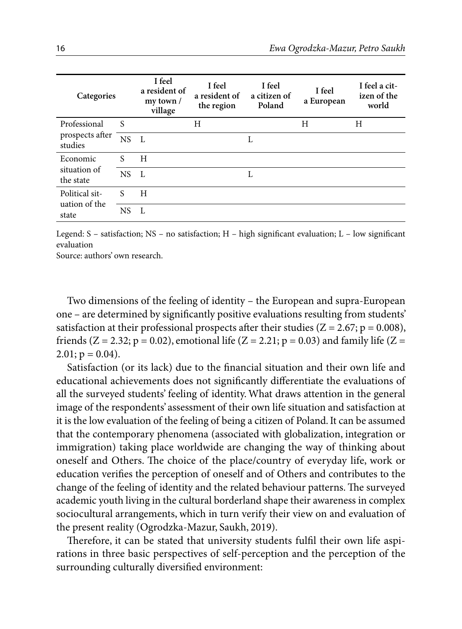| Categories                                 |      | I feel<br>a resident of<br>$my$ town /<br>village | I feel<br>a resident of<br>the region | I feel<br>a citizen of<br>Poland | I feel<br>a European | I feel a cit-<br>izen of the<br>world |
|--------------------------------------------|------|---------------------------------------------------|---------------------------------------|----------------------------------|----------------------|---------------------------------------|
| Professional<br>prospects after<br>studies | S    |                                                   | H                                     |                                  | H                    | H                                     |
|                                            | NS L |                                                   |                                       | L                                |                      |                                       |
| Economic<br>situation of<br>the state      | S    | H                                                 |                                       |                                  |                      |                                       |
|                                            | NS.  | $\mathbf{L}$                                      |                                       | L                                |                      |                                       |
| Political sit-<br>uation of the<br>state   | S    | H                                                 |                                       |                                  |                      |                                       |
|                                            | NS.  | $\mathbf{L}$                                      |                                       |                                  |                      |                                       |

Legend: S – satisfaction; NS – no satisfaction; H – high significant evaluation; L – low significant evaluation

Source: authors' own research.

Two dimensions of the feeling of identity – the European and supra-European one – are determined by significantly positive evaluations resulting from students' satisfaction at their professional prospects after their studies ( $Z = 2.67$ ; p = 0.008), friends ( $Z = 2.32$ ;  $p = 0.02$ ), emotional life ( $Z = 2.21$ ;  $p = 0.03$ ) and family life ( $Z =$  $2.01; p = 0.04$ .

Satisfaction (or its lack) due to the financial situation and their own life and educational achievements does not significantly differentiate the evaluations of all the surveyed students' feeling of identity. What draws attention in the general image of the respondents' assessment of their own life situation and satisfaction at it is the low evaluation of the feeling of being a citizen of Poland. It can be assumed that the contemporary phenomena (associated with globalization, integration or immigration) taking place worldwide are changing the way of thinking about oneself and Others. The choice of the place/country of everyday life, work or education verifies the perception of oneself and of Others and contributes to the change of the feeling of identity and the related behaviour patterns. The surveyed academic youth living in the cultural borderland shape their awareness in complex sociocultural arrangements, which in turn verify their view on and evaluation of the present reality (Ogrodzka-Mazur, Saukh, 2019).

Therefore, it can be stated that university students fulfil their own life aspirations in three basic perspectives of self-perception and the perception of the surrounding culturally diversified environment: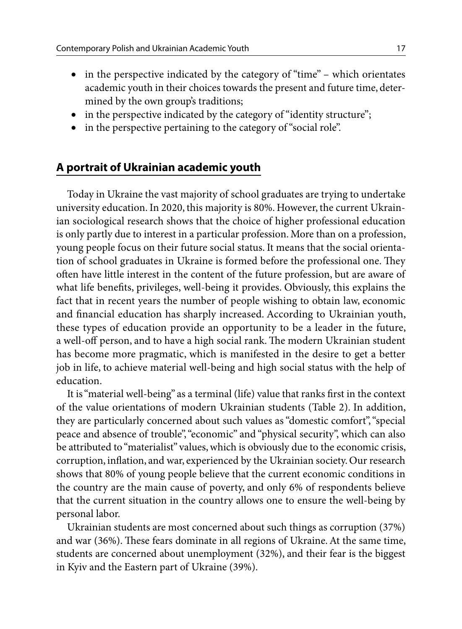- in the perspective indicated by the category of "time" which orientates academic youth in their choices towards the present and future time, determined by the own group's traditions;
- in the perspective indicated by the category of "identity structure";
- in the perspective pertaining to the category of "social role".

## **A portrait of Ukrainian academic youth**

Today in Ukraine the vast majority of school graduates are trying to undertake university education. In 2020, this majority is 80%. However, the current Ukrainian sociological research shows that the choice of higher professional education is only partly due to interest in a particular profession. More than on a profession, young people focus on their future social status. It means that the social orientation of school graduates in Ukraine is formed before the professional one. They often have little interest in the content of the future profession, but are aware of what life benefits, privileges, well-being it provides. Obviously, this explains the fact that in recent years the number of people wishing to obtain law, economic and financial education has sharply increased. According to Ukrainian youth, these types of education provide an opportunity to be a leader in the future, a well-off person, and to have a high social rank. The modern Ukrainian student has become more pragmatic, which is manifested in the desire to get a better job in life, to achieve material well-being and high social status with the help of education.

It is "material well-being" as a terminal (life) value that ranks first in the context of the value orientations of modern Ukrainian students (Table 2). In addition, they are particularly concerned about such values as "domestic comfort", "special peace and absence of trouble", "economic" and "physical security", which can also be attributed to "materialist" values, which is obviously due to the economic crisis, corruption, inflation, and war, experienced by the Ukrainian society. Our research shows that 80% of young people believe that the current economic conditions in the country are the main cause of poverty, and only 6% of respondents believe that the current situation in the country allows one to ensure the well-being by personal labor.

Ukrainian students are most concerned about such things as corruption (37%) and war (36%). These fears dominate in all regions of Ukraine. At the same time, students are concerned about unemployment (32%), and their fear is the biggest in Kyiv and the Eastern part of Ukraine (39%).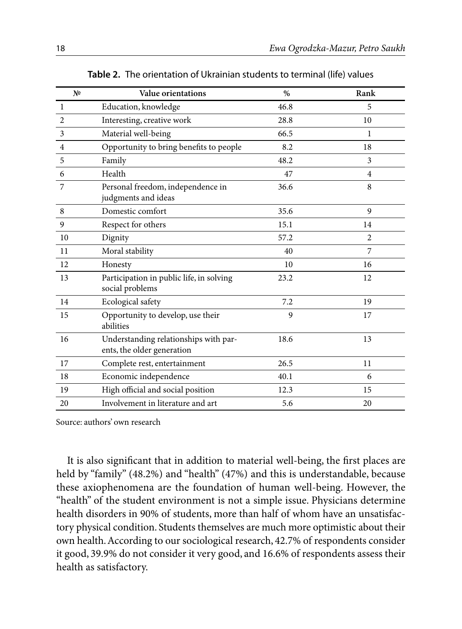| N <sub>2</sub> | Value orientations                                                  | $\%$ | Rank           |
|----------------|---------------------------------------------------------------------|------|----------------|
| $\mathbf{1}$   | Education, knowledge                                                | 46.8 | 5              |
| 2              | Interesting, creative work                                          | 28.8 | 10             |
| 3              | Material well-being                                                 | 66.5 | 1              |
| $\overline{4}$ | Opportunity to bring benefits to people                             | 8.2  | 18             |
| 5              | Family                                                              | 48.2 | 3              |
| 6              | Health                                                              | 47   | $\overline{4}$ |
| 7              | Personal freedom, independence in<br>judgments and ideas            | 36.6 | 8              |
| 8              | Domestic comfort                                                    | 35.6 | 9              |
| 9              | Respect for others                                                  | 15.1 | 14             |
| 10             | Dignity                                                             | 57.2 | 2              |
| 11             | Moral stability                                                     | 40   | 7              |
| 12             | Honesty                                                             | 10   | 16             |
| 13             | Participation in public life, in solving<br>social problems         | 23.2 | 12             |
| 14             | Ecological safety                                                   | 7.2  | 19             |
| 15             | Opportunity to develop, use their<br>abilities                      | 9    | 17             |
| 16             | Understanding relationships with par-<br>ents, the older generation | 18.6 | 13             |
| 17             | Complete rest, entertainment                                        | 26.5 | 11             |
| 18             | Economic independence                                               | 40.1 | 6              |
| 19             | High official and social position                                   | 12.3 | 15             |
| 20             | Involvement in literature and art                                   | 5.6  | 20             |

**Table 2.** The orientation of Ukrainian students to terminal (life) values

Source: authors' own research

It is also significant that in addition to material well-being, the first places are held by "family" (48.2%) and "health" (47%) and this is understandable, because these axiophenomena are the foundation of human well-being. However, the "health" of the student environment is not a simple issue. Physicians determine health disorders in 90% of students, more than half of whom have an unsatisfactory physical condition. Students themselves are much more optimistic about their own health. According to our sociological research, 42.7% of respondents consider it good, 39.9% do not consider it very good, and 16.6% of respondents assess their health as satisfactory.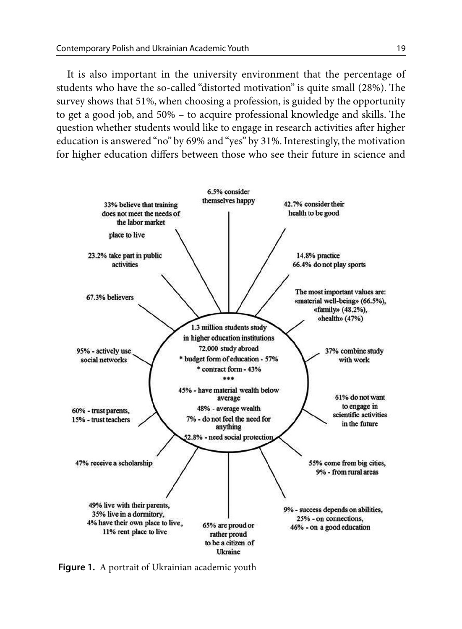It is also important in the university environment that the percentage of students who have the so-called "distorted motivation" is quite small (28%). The survey shows that 51%, when choosing a profession, is guided by the opportunity to get a good job, and 50% – to acquire professional knowledge and skills. The question whether students would like to engage in research activities after higher education is answered "no" by 69% and "yes" by 31%. Interestingly, the motivation for higher education differs between those who see their future in science and



**Figure 1.** A portrait of Ukrainian academic youth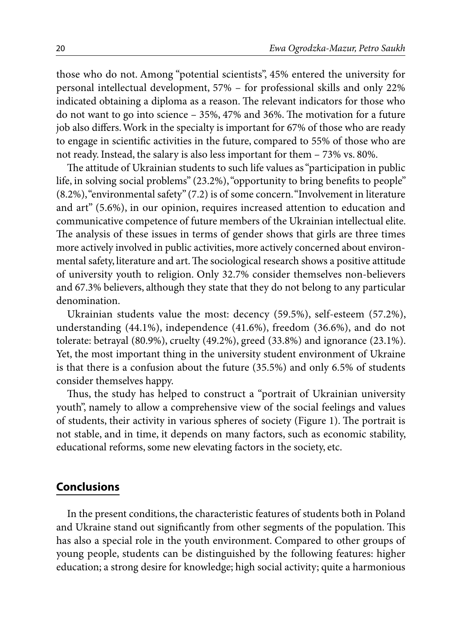those who do not. Among "potential scientists", 45% entered the university for personal intellectual development, 57% – for professional skills and only 22% indicated obtaining a diploma as a reason. The relevant indicators for those who do not want to go into science – 35%, 47% and 36%. The motivation for a future job also differs. Work in the specialty is important for 67% of those who are ready to engage in scientific activities in the future, compared to 55% of those who are not ready. Instead, the salary is also less important for them – 73% vs. 80%.

The attitude of Ukrainian students to such life values as "participation in public life, in solving social problems" (23.2%), "opportunity to bring benefits to people" (8.2%), "environmental safety" (7.2) is of some concern. "Involvement in literature and art" (5.6%), in our opinion, requires increased attention to education and communicative competence of future members of the Ukrainian intellectual elite. The analysis of these issues in terms of gender shows that girls are three times more actively involved in public activities, more actively concerned about environmental safety, literature and art. The sociological research shows a positive attitude of university youth to religion. Only 32.7% consider themselves non-believers and 67.3% believers, although they state that they do not belong to any particular denomination.

Ukrainian students value the most: decency (59.5%), self-esteem (57.2%), understanding (44.1%), independence (41.6%), freedom (36.6%), and do not tolerate: betrayal (80.9%), cruelty (49.2%), greed (33.8%) and ignorance (23.1%). Yet, the most important thing in the university student environment of Ukraine is that there is a confusion about the future (35.5%) and only 6.5% of students consider themselves happy.

Thus, the study has helped to construct a "portrait of Ukrainian university youth", namely to allow a comprehensive view of the social feelings and values of students, their activity in various spheres of society (Figure 1). The portrait is not stable, and in time, it depends on many factors, such as economic stability, educational reforms, some new elevating factors in the society, etc.

### **Conclusions**

In the present conditions, the characteristic features of students both in Poland and Ukraine stand out significantly from other segments of the population. This has also a special role in the youth environment. Compared to other groups of young people, students can be distinguished by the following features: higher education; a strong desire for knowledge; high social activity; quite a harmonious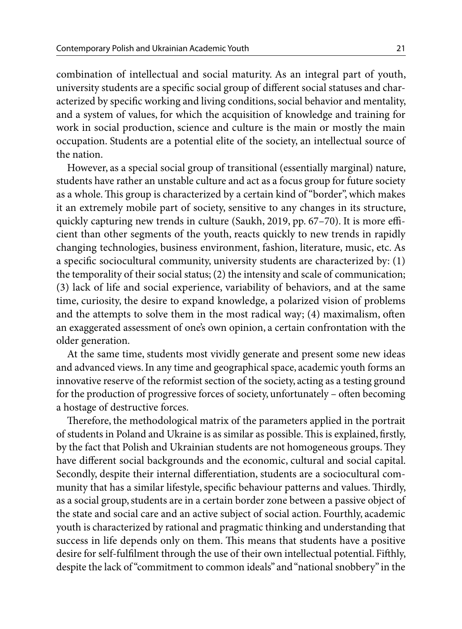combination of intellectual and social maturity. As an integral part of youth, university students are a specific social group of different social statuses and characterized by specific working and living conditions, social behavior and mentality, and a system of values, for which the acquisition of knowledge and training for work in social production, science and culture is the main or mostly the main occupation. Students are a potential elite of the society, an intellectual source of the nation.

However, as a special social group of transitional (essentially marginal) nature, students have rather an unstable culture and act as a focus group for future society as a whole. This group is characterized by a certain kind of "border", which makes it an extremely mobile part of society, sensitive to any changes in its structure, quickly capturing new trends in culture (Saukh, 2019, pp. 67–70). It is more efficient than other segments of the youth, reacts quickly to new trends in rapidly changing technologies, business environment, fashion, literature, music, etc. As a specific sociocultural community, university students are characterized by: (1) the temporality of their social status; (2) the intensity and scale of communication; (3) lack of life and social experience, variability of behaviors, and at the same time, curiosity, the desire to expand knowledge, a polarized vision of problems and the attempts to solve them in the most radical way; (4) maximalism, often an exaggerated assessment of one's own opinion, a certain confrontation with the older generation.

At the same time, students most vividly generate and present some new ideas and advanced views. In any time and geographical space, academic youth forms an innovative reserve of the reformist section of the society, acting as a testing ground for the production of progressive forces of society, unfortunately – often becoming a hostage of destructive forces.

Therefore, the methodological matrix of the parameters applied in the portrait of students in Poland and Ukraine is as similar as possible. This is explained, firstly, by the fact that Polish and Ukrainian students are not homogeneous groups. They have different social backgrounds and the economic, cultural and social capital. Secondly, despite their internal differentiation, students are a sociocultural community that has a similar lifestyle, specific behaviour patterns and values. Thirdly, as a social group, students are in a certain border zone between a passive object of the state and social care and an active subject of social action. Fourthly, academic youth is characterized by rational and pragmatic thinking and understanding that success in life depends only on them. This means that students have a positive desire for self-fulfilment through the use of their own intellectual potential. Fifthly, despite the lack of "commitment to common ideals" and "national snobbery" in the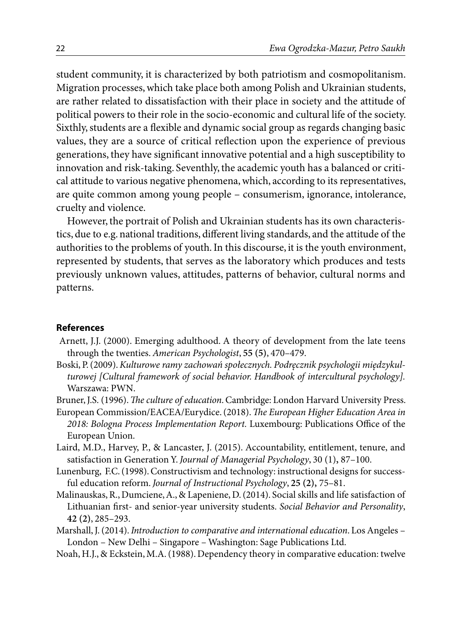student community, it is characterized by both patriotism and cosmopolitanism. Migration processes, which take place both among Polish and Ukrainian students, are rather related to dissatisfaction with their place in society and the attitude of political powers to their role in the socio-economic and cultural life of the society. Sixthly, students are a flexible and dynamic social group as regards changing basic values, they are a source of critical reflection upon the experience of previous generations, they have significant innovative potential and a high susceptibility to innovation and risk-taking. Seventhly, the academic youth has a balanced or critical attitude to various negative phenomena, which, according to its representatives, are quite common among young people – consumerism, ignorance, intolerance, cruelty and violence.

However, the portrait of Polish and Ukrainian students has its own characteristics, due to e.g. national traditions, different living standards, and the attitude of the authorities to the problems of youth. In this discourse, it is the youth environment, represented by students, that serves as the laboratory which produces and tests previously unknown values, attitudes, patterns of behavior, cultural norms and patterns.

#### **References**

- Arnett, J.J. (2000). Emerging adulthood. A theory of development from the late teens through the twenties. *American Psychologist*, **55 (5)**, 470–479.
- Boski, P. (2009). *Kulturowe ramy zachowań społecznych. Podręcznik psychologii międzykulturowej [Cultural framework of social behavior. Handbook of intercultural psychology].* Warszawa: PWN.
- Bruner, J.S. (1996). *The culture of education*. Cambridge: London Harvard University Press.
- European Commission/EACEA/Eurydice. (2018). *The European Higher Education Area in 2018: Bologna Process Implementation Report.* Luxembourg: Publications Office of the European Union.
- Laird, M.D., Harvey, P., & Lancaster, J. (2015). Accountability, entitlement, tenure, and satisfaction in Generation Y. *Journal of Managerial Psychology*, 30 (1)**,** 87–100.
- Lunenburg, F.C. (1998). Constructivism and technology: instructional designs for successful education reform. *Journal of Instructional Psychology*, **25 (2),** 75–81.
- Malinauskas, R., Dumciene, A., & Lapeniene, D. (2014). Social skills and life satisfaction of Lithuanian first- and senior-year university students. *Social Behavior and Personality*, **42 (2)**, 285–293.
- Marshall, J. (2014). *Introduction to comparative and international education*. Los Angeles London – New Delhi – Singapore – Washington: Sage Publications Ltd.
- Noah, H.J., & Eckstein, M.A. (1988). Dependency theory in comparative education: twelve